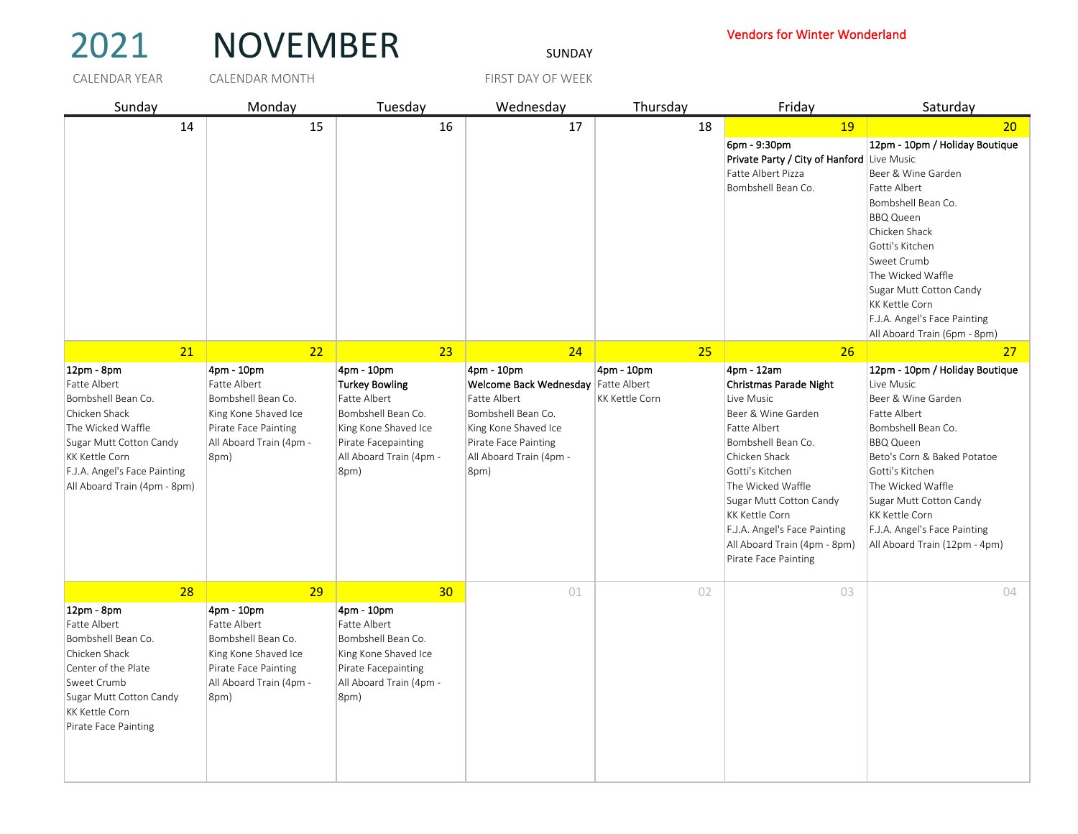## 2021 NOVEMBER SUNDAY

## Vendors for Winter Wonderland

CALENDAR YEAR CALENDAR MONTH FIRST DAY OF WEEK Sunday Monday Tuesday Wednesday Thursday Friday Saturday 14 15 16 17 18 19 20 6pm - 9:30pm **Private Party / City of Hanford Live Music** Fatte Albert Pizza Bombshell Bean Co. 12pm - 10pm / Holiday Boutique Beer & Wine Garden Fatte Albert Bombshell Bean Co. BBQ Queen Chicken Shack Gotti's Kitchen Sweet Crumb The Wicked Waffle Sugar Mutt Cotton Candy KK Kettle Corn F.J.A. Angel's Face Painting All Aboard Train (6pm - 8pm) 21 22 23 23 24 24 25 25 26 26 27 27 12pm - 8pm Fatte Albert Bombshell Bean Co. Chicken Shack The Wicked Waffle Sugar Mutt Cotton Candy KK Kettle Corn F.J.A. Angel's Face Painting All Aboard Train (4pm - 8pm) 4pm - 10pm Fatte Albert Bombshell Bean Co. King Kone Shaved Ice Pirate Face Painting All Aboard Train (4pm - 8pm) 4pm - 10pm Turkey Bowling Fatte Albert Bombshell Bean Co. King Kone Shaved Ice Pirate Facepainting All Aboard Train (4pm - 8pm) 4pm - 10pm Welcome Back Wednesday Fatte Albert Bombshell Bean Co. King Kone Shaved Ice Pirate Face Painting All Aboard Train (4pm - 8pm) 4pm - 10pm Fatte Albert KK Kettle Corn 4pm - 12am Christmas Parade Night Live Music Beer & Wine Garden Fatte Albert Bombshell Bean Co. Chicken Shack Gotti's Kitchen The Wicked Waffle Sugar Mutt Cotton Candy KK Kettle Corn F.J.A. Angel's Face Painting All Aboard Train (4pm - 8pm) Pirate Face Painting 12pm - 10pm / Holiday Boutique Live Music Beer & Wine Garden Fatte Albert Bombshell Bean Co. BBQ Queen Beto's Corn & Baked Potatoe Gotti's Kitchen The Wicked Waffle Sugar Mutt Cotton Candy KK Kettle Corn F.J.A. Angel's Face Painting All Aboard Train (12pm - 4pm) 28 29 29 29 30 01 02 02 30 29 30 30 12pm - 8pm Fatte Albert Bombshell Bean Co. Chicken Shack Center of the Plate Sweet Crumb Sugar Mutt Cotton Candy KK Kettle Corn Pirate Face Painting 4pm - 10pm Fatte Albert Bombshell Bean Co. King Kone Shaved Ice Pirate Face Painting All Aboard Train (4pm - 8pm) 4pm - 10pm Fatte Albert Bombshell Bean Co. King Kone Shaved Ice Pirate Facepainting All Aboard Train (4pm - 8pm) CALENDAR MONTH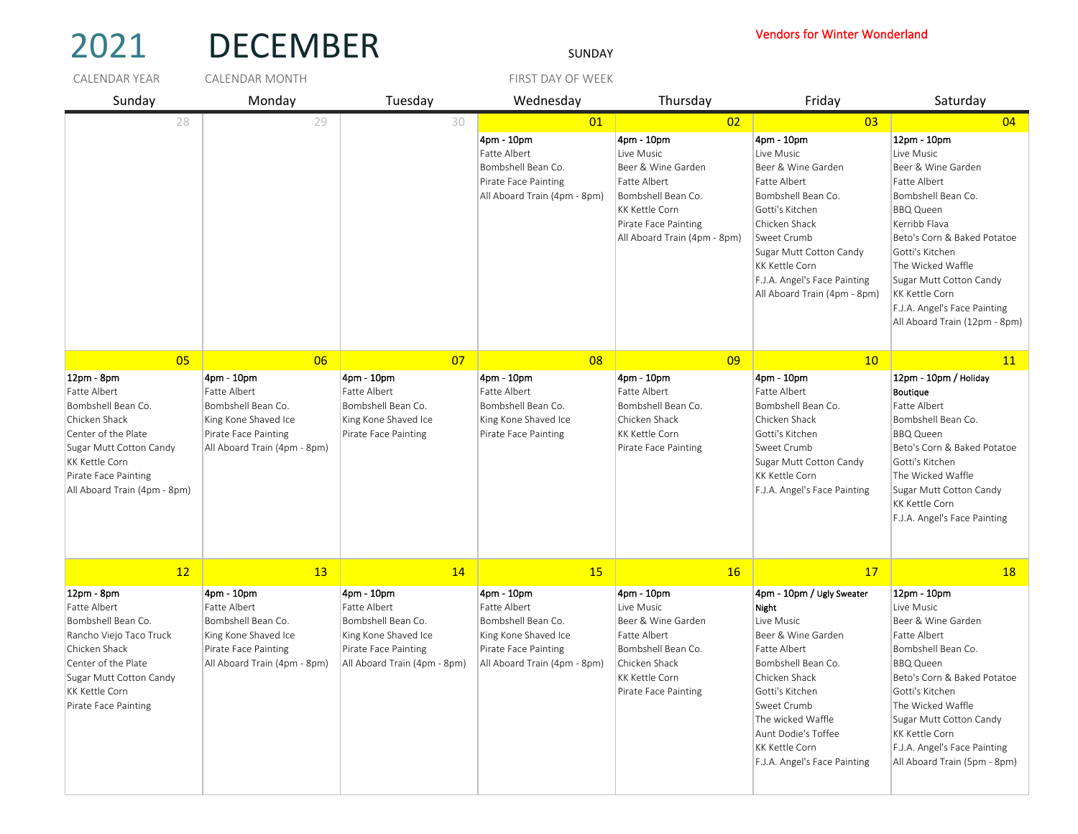| 2021                                                                                                                                                                                                                   | <b>DECEMBER</b>                                                                                                                         |                                                                                                                                  | SUNDAY                                                                                                                           |                                                                                                                                                                             | <b>Vendors for Winter Wonderland</b>                                                                                                                                                                                                                              |                                                                                                                                                                                                                                                                                                                       |
|------------------------------------------------------------------------------------------------------------------------------------------------------------------------------------------------------------------------|-----------------------------------------------------------------------------------------------------------------------------------------|----------------------------------------------------------------------------------------------------------------------------------|----------------------------------------------------------------------------------------------------------------------------------|-----------------------------------------------------------------------------------------------------------------------------------------------------------------------------|-------------------------------------------------------------------------------------------------------------------------------------------------------------------------------------------------------------------------------------------------------------------|-----------------------------------------------------------------------------------------------------------------------------------------------------------------------------------------------------------------------------------------------------------------------------------------------------------------------|
| <b>CALENDAR YEAR</b>                                                                                                                                                                                                   | <b>CALENDAR MONTH</b>                                                                                                                   |                                                                                                                                  | FIRST DAY OF WEEK                                                                                                                |                                                                                                                                                                             |                                                                                                                                                                                                                                                                   |                                                                                                                                                                                                                                                                                                                       |
| Sunday                                                                                                                                                                                                                 | Monday                                                                                                                                  | Tuesday                                                                                                                          | Wednesday                                                                                                                        | Thursday                                                                                                                                                                    | Friday                                                                                                                                                                                                                                                            | Saturday                                                                                                                                                                                                                                                                                                              |
| 28                                                                                                                                                                                                                     | 29                                                                                                                                      | 30                                                                                                                               | 01<br>4pm - 10pm<br>Fatte Albert<br>Bombshell Bean Co.<br>Pirate Face Painting<br>All Aboard Train (4pm - 8pm)                   | 02<br>4pm - 10pm<br>Live Music<br>Beer & Wine Garden<br>Fatte Albert<br>Bombshell Bean Co.<br><b>KK Kettle Corn</b><br>Pirate Face Painting<br>All Aboard Train (4pm - 8pm) | 03<br>4pm - 10pm<br>Live Music<br>Beer & Wine Garden<br><b>Fatte Albert</b><br>Bombshell Bean Co.<br>Gotti's Kitchen<br>Chicken Shack<br>Sweet Crumb<br>Sugar Mutt Cotton Candy<br>KK Kettle Corn<br>F.J.A. Angel's Face Painting<br>All Aboard Train (4pm - 8pm) | 04<br>12pm - 10pm<br>Live Music<br>Beer & Wine Garden<br>Fatte Albert<br>Bombshell Bean Co.<br><b>BBQ Queen</b><br>Kerribb Flava<br>Beto's Corn & Baked Potatoe<br>Gotti's Kitchen<br>The Wicked Waffle<br>Sugar Mutt Cotton Candy<br>KK Kettle Corn<br>F.J.A. Angel's Face Painting<br>All Aboard Train (12pm - 8pm) |
| 0 <sub>5</sub><br>12pm - 8pm<br>Fatte Albert<br>Bombshell Bean Co.<br>Chicken Shack<br>Center of the Plate<br>Sugar Mutt Cotton Candy<br><b>KK Kettle Corn</b><br>Pirate Face Painting<br>All Aboard Train (4pm - 8pm) | 06<br>4pm - 10pm<br>Fatte Albert<br>Bombshell Bean Co.<br>King Kone Shaved Ice<br>Pirate Face Painting<br>All Aboard Train (4pm - 8pm)  | 07<br>4pm - 10pm<br>Fatte Albert<br>Bombshell Bean Co.<br>King Kone Shaved Ice<br>Pirate Face Painting                           | 08<br>4pm - 10pm<br>Fatte Albert<br>Bombshell Bean Co.<br>King Kone Shaved Ice<br>Pirate Face Painting                           | 09<br>4pm - 10pm<br>Fatte Albert<br>Bombshell Bean Co.<br>Chicken Shack<br><b>KK Kettle Corn</b><br>Pirate Face Painting                                                    | 10<br>4pm - 10pm<br>Fatte Albert<br>Bombshell Bean Co.<br>Chicken Shack<br>Gotti's Kitchen<br>Sweet Crumb<br>Sugar Mutt Cotton Candy<br>KK Kettle Corn<br>F.J.A. Angel's Face Painting                                                                            | <b>11</b><br>12pm - 10pm / Holiday<br><b>Boutique</b><br>Fatte Albert<br>Bombshell Bean Co.<br><b>BBQ Queen</b><br>Beto's Corn & Baked Potatoe<br>Gotti's Kitchen<br>The Wicked Waffle<br>Sugar Mutt Cotton Candy<br>KK Kettle Corn<br>F.J.A. Angel's Face Painting                                                   |
| 12                                                                                                                                                                                                                     | 13                                                                                                                                      | 14                                                                                                                               | 15                                                                                                                               | 16                                                                                                                                                                          | 17                                                                                                                                                                                                                                                                | <b>18</b>                                                                                                                                                                                                                                                                                                             |
| $12pm - 8pm$<br>Fatte Albert<br>Bombshell Bean Co.<br> Rancho Viejo Taco Truck <br>Chicken Shack<br>Center of the Plate<br>Sugar Mutt Cotton Candy<br>KK Kettle Corn<br>Pirate Face Painting                           | 4pm - 10pm<br><b>Fatte Albert</b><br>Bombshell Bean Co.<br>King Kone Shaved Ice<br>Pirate Face Painting<br>All Aboard Train (4pm - 8pm) | 4pm - 10pm<br>Fatte Albert<br>Bombshell Bean Co.<br>King Kone Shaved Ice<br>Pirate Face Painting<br>All Aboard Train (4pm - 8pm) | 4pm - 10pm<br>Fatte Albert<br>Bombshell Bean Co.<br>King Kone Shaved Ice<br>Pirate Face Painting<br>All Aboard Train (4pm - 8pm) | 4pm - 10pm<br>Live Music<br>Beer & Wine Garden<br>Fatte Albert<br>Bombshell Bean Co.<br>Chicken Shack<br><b>KK Kettle Corn</b><br>Pirate Face Painting                      | 4pm - 10pm / Ugly Sweater<br>Night<br>Live Music<br>Beer & Wine Garden<br>Fatte Albert<br>Bombshell Bean Co.<br>Chicken Shack<br>Gotti's Kitchen<br>Sweet Crumb<br>The wicked Waffle<br>Aunt Dodie's Toffee<br>KK Kettle Corn<br>F.J.A. Angel's Face Painting     | 12pm - 10pm<br>Live Music<br>Beer & Wine Garden<br>Fatte Albert<br>Bombshell Bean Co.<br><b>BBQ Queen</b><br>Beto's Corn & Baked Potatoe<br>Gotti's Kitchen<br>The Wicked Waffle<br>Sugar Mutt Cotton Candy<br>KK Kettle Corn<br>F.J.A. Angel's Face Painting<br>All Aboard Train (5pm - 8pm)                         |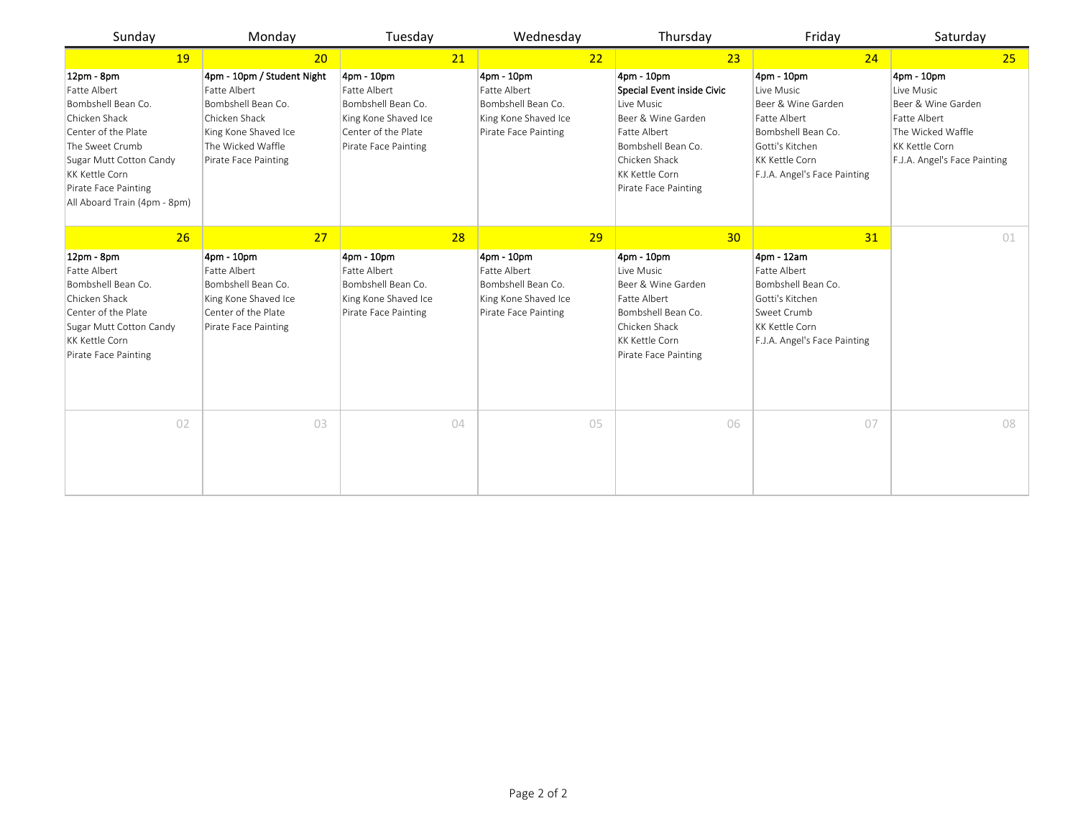| Sunday                                                                                                                                                                                                                  | Monday                                                                                                                                                 | Tuesday                                                                                                                 | Wednesday                                                                                              | Thursday                                                                                                                                                                             | Friday                                                                                                                                                           | Saturday                                                                                                                              |
|-------------------------------------------------------------------------------------------------------------------------------------------------------------------------------------------------------------------------|--------------------------------------------------------------------------------------------------------------------------------------------------------|-------------------------------------------------------------------------------------------------------------------------|--------------------------------------------------------------------------------------------------------|--------------------------------------------------------------------------------------------------------------------------------------------------------------------------------------|------------------------------------------------------------------------------------------------------------------------------------------------------------------|---------------------------------------------------------------------------------------------------------------------------------------|
| 19                                                                                                                                                                                                                      | 20                                                                                                                                                     | 21                                                                                                                      | 22                                                                                                     | 23                                                                                                                                                                                   | 24                                                                                                                                                               | 25                                                                                                                                    |
| 12pm - 8pm<br>Fatte Albert<br>Bombshell Bean Co.<br>Chicken Shack<br>Center of the Plate<br>The Sweet Crumb<br>Sugar Mutt Cotton Candy<br><b>KK Kettle Corn</b><br>Pirate Face Painting<br>All Aboard Train (4pm - 8pm) | 4pm - 10pm / Student Night<br>Fatte Albert<br>Bombshell Bean Co.<br>Chicken Shack<br>King Kone Shaved Ice<br>The Wicked Waffle<br>Pirate Face Painting | 4pm - 10pm<br>Fatte Albert<br>Bombshell Bean Co.<br>King Kone Shaved Ice<br>Center of the Plate<br>Pirate Face Painting | 4pm - 10pm<br>Fatte Albert<br>Bombshell Bean Co.<br>King Kone Shaved Ice<br>Pirate Face Painting       | 4pm - 10pm<br>Special Event inside Civic<br>Live Music<br>Beer & Wine Garden<br>Fatte Albert<br>Bombshell Bean Co.<br>Chicken Shack<br><b>KK Kettle Corn</b><br>Pirate Face Painting | 4pm - 10pm<br>Live Music<br>Beer & Wine Garden<br>Fatte Albert<br>Bombshell Bean Co.<br>Gotti's Kitchen<br><b>KK Kettle Corn</b><br>F.J.A. Angel's Face Painting | 4pm - 10pm<br>Live Music<br>Beer & Wine Garden<br>Fatte Albert<br>The Wicked Waffle<br>KK Kettle Corn<br>F.J.A. Angel's Face Painting |
| 26<br>12pm - 8pm<br>Fatte Albert<br>Bombshell Bean Co.<br>Chicken Shack<br>Center of the Plate<br>Sugar Mutt Cotton Candy<br><b>KK Kettle Corn</b><br>Pirate Face Painting                                              | 27<br>4pm - 10pm<br>Fatte Albert<br>Bombshell Bean Co.<br>King Kone Shaved Ice<br>Center of the Plate<br>Pirate Face Painting                          | 28<br>4pm - 10pm<br>Fatte Albert<br>Bombshell Bean Co.<br>King Kone Shaved Ice<br>Pirate Face Painting                  | 29<br>4pm - 10pm<br>Fatte Albert<br>Bombshell Bean Co.<br>King Kone Shaved Ice<br>Pirate Face Painting | 30<br>4pm - 10pm<br>Live Music<br>Beer & Wine Garden<br>Fatte Albert<br>Bombshell Bean Co.<br>Chicken Shack<br><b>KK Kettle Corn</b><br>Pirate Face Painting                         | 31<br>4pm - 12am<br>Fatte Albert<br>Bombshell Bean Co.<br>Gotti's Kitchen<br>Sweet Crumb<br><b>KK Kettle Corn</b><br>F.J.A. Angel's Face Painting                | 01                                                                                                                                    |
| 02                                                                                                                                                                                                                      | 03                                                                                                                                                     | 04                                                                                                                      | 05                                                                                                     | 06                                                                                                                                                                                   | 07                                                                                                                                                               | 08                                                                                                                                    |